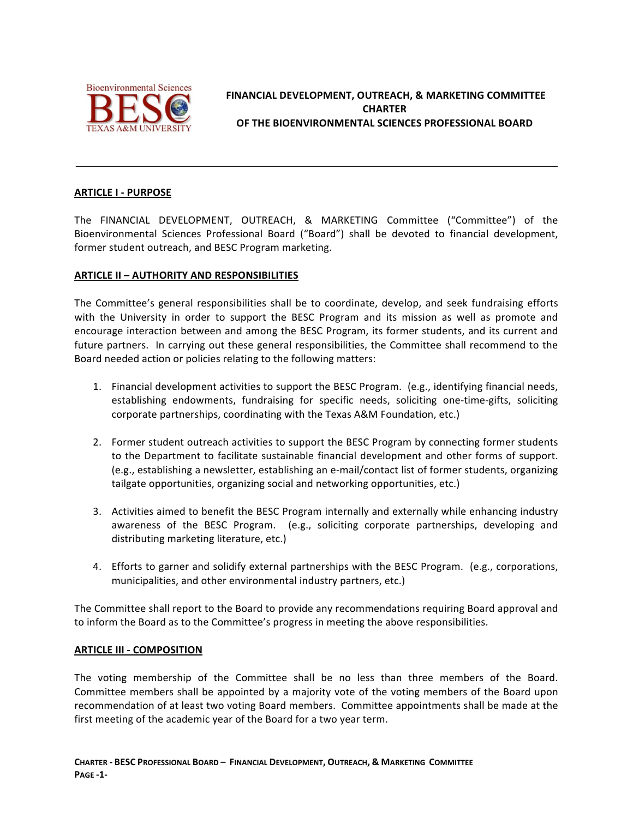

# FINANCIAL DEVELOPMENT, OUTREACH, & MARKETING COMMITTEE **CHARTER OF THE BIOENVIRONMENTAL SCIENCES PROFESSIONAL BOARD**

## **ARTICLE I - PURPOSE**

The FINANCIAL DEVELOPMENT, OUTREACH, & MARKETING Committee ("Committee") of the Bioenvironmental Sciences Professional Board ("Board") shall be devoted to financial development, former student outreach, and BESC Program marketing.

## **ARTICLE II - AUTHORITY AND RESPONSIBILITIES**

The Committee's general responsibilities shall be to coordinate, develop, and seek fundraising efforts with the University in order to support the BESC Program and its mission as well as promote and encourage interaction between and among the BESC Program, its former students, and its current and future partners. In carrying out these general responsibilities, the Committee shall recommend to the Board needed action or policies relating to the following matters:

- 1. Financial development activities to support the BESC Program. (e.g., identifying financial needs, establishing endowments, fundraising for specific needs, soliciting one-time-gifts, soliciting corporate partnerships, coordinating with the Texas A&M Foundation, etc.)
- 2. Former student outreach activities to support the BESC Program by connecting former students to the Department to facilitate sustainable financial development and other forms of support. (e.g., establishing a newsletter, establishing an e-mail/contact list of former students, organizing tailgate opportunities, organizing social and networking opportunities, etc.)
- 3. Activities aimed to benefit the BESC Program internally and externally while enhancing industry awareness of the BESC Program. (e.g., soliciting corporate partnerships, developing and distributing marketing literature, etc.)
- 4. Efforts to garner and solidify external partnerships with the BESC Program. (e.g., corporations, municipalities, and other environmental industry partners, etc.)

The Committee shall report to the Board to provide any recommendations requiring Board approval and to inform the Board as to the Committee's progress in meeting the above responsibilities.

#### **ARTICLE III - COMPOSITION**

The voting membership of the Committee shall be no less than three members of the Board. Committee members shall be appointed by a majority vote of the voting members of the Board upon recommendation of at least two voting Board members. Committee appointments shall be made at the first meeting of the academic year of the Board for a two year term.